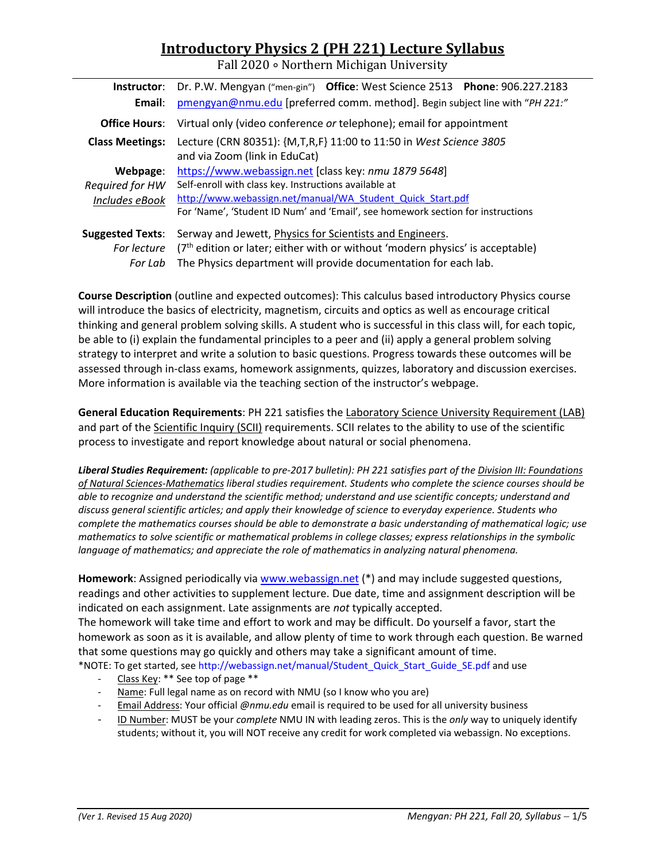# **Introductory Physics 2 (PH 221) Lecture Syllabus**

Fall 2020 ∘ Northern Michigan University

| Instructor:             | Dr. P.W. Mengyan ("men-gin") Office: West Science 2513 Phone: 906.227.2183      |  |  |  |  |
|-------------------------|---------------------------------------------------------------------------------|--|--|--|--|
| Email:                  | pmengyan@nmu.edu [preferred comm. method]. Begin subject line with "PH 221:"    |  |  |  |  |
| <b>Office Hours:</b>    | Virtual only (video conference or telephone); email for appointment             |  |  |  |  |
| <b>Class Meetings:</b>  | Lecture (CRN 80351): {M,T,R,F} 11:00 to 11:50 in West Science 3805              |  |  |  |  |
|                         | and via Zoom (link in EduCat)                                                   |  |  |  |  |
| Webpage:                | https://www.webassign.net [class key: nmu 1879 5648]                            |  |  |  |  |
| Required for HW         | Self-enroll with class key. Instructions available at                           |  |  |  |  |
| Includes eBook          | http://www.webassign.net/manual/WA Student Quick Start.pdf                      |  |  |  |  |
|                         | For 'Name', 'Student ID Num' and 'Email', see homework section for instructions |  |  |  |  |
| <b>Suggested Texts:</b> | Serway and Jewett, Physics for Scientists and Engineers.                        |  |  |  |  |
| For lecture             | $(7th$ edition or later; either with or without 'modern physics' is acceptable) |  |  |  |  |
| For Lab                 | The Physics department will provide documentation for each lab.                 |  |  |  |  |

**Course Description** (outline and expected outcomes): This calculus based introductory Physics course will introduce the basics of electricity, magnetism, circuits and optics as well as encourage critical thinking and general problem solving skills. A student who is successful in this class will, for each topic, be able to (i) explain the fundamental principles to a peer and (ii) apply a general problem solving strategy to interpret and write a solution to basic questions. Progress towards these outcomes will be assessed through in‐class exams, homework assignments, quizzes, laboratory and discussion exercises. More information is available via the teaching section of the instructor's webpage.

**General Education Requirements**: PH 221 satisfies the Laboratory Science University Requirement (LAB) and part of the Scientific Inquiry (SCII) requirements. SCII relates to the ability to use of the scientific process to investigate and report knowledge about natural or social phenomena.

*Liberal Studies Requirement: (applicable to pre‐2017 bulletin): PH 221 satisfies part of the Division III: Foundations of Natural Sciences‐Mathematics liberal studies requirement. Students who complete the science courses should be able to recognize and understand the scientific method; understand and use scientific concepts; understand and discuss general scientific articles; and apply their knowledge of science to everyday experience. Students who complete the mathematics courses should be able to demonstrate a basic understanding of mathematical logic; use mathematics to solve scientific or mathematical problems in college classes; express relationships in the symbolic language of mathematics; and appreciate the role of mathematics in analyzing natural phenomena.* 

**Homework**: Assigned periodically via www.webassign.net (\*) and may include suggested questions, readings and other activities to supplement lecture. Due date, time and assignment description will be indicated on each assignment. Late assignments are *not* typically accepted. The homework will take time and effort to work and may be difficult. Do yourself a favor, start the homework as soon as it is available, and allow plenty of time to work through each question. Be warned that some questions may go quickly and others may take a significant amount of time.

\*NOTE: To get started, see http://webassign.net/manual/Student\_Quick\_Start\_Guide\_SE.pdf and use

- Class Key: \*\* See top of page \*\*
- Name: Full legal name as on record with NMU (so I know who you are)
- ‐ Email Address: Your official *@nmu.edu* email is required to be used for all university business
- ‐ ID Number: MUST be your *complete* NMU IN with leading zeros. This is the *only* way to uniquely identify students; without it, you will NOT receive any credit for work completed via webassign. No exceptions.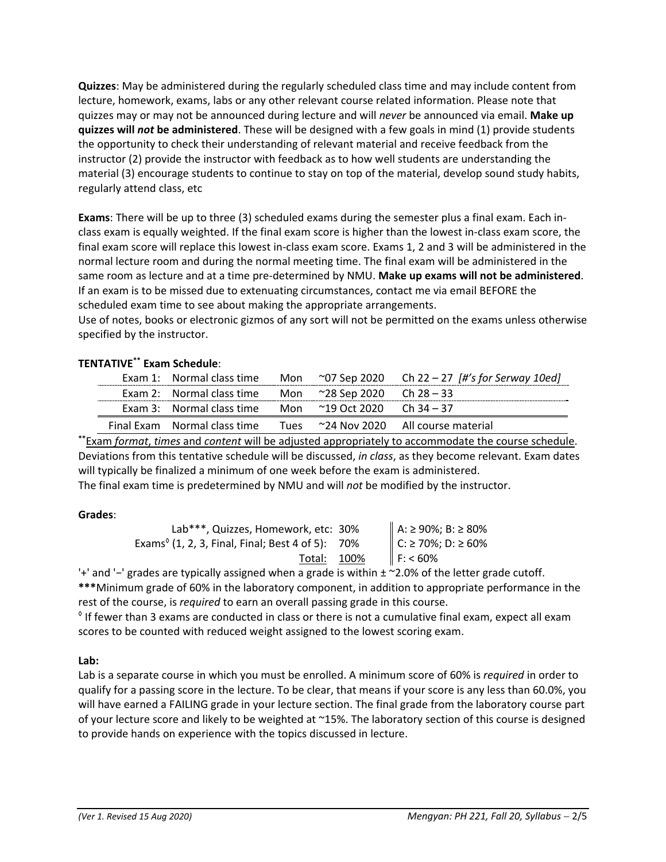**Quizzes**: May be administered during the regularly scheduled class time and may include content from lecture, homework, exams, labs or any other relevant course related information. Please note that quizzes may or may not be announced during lecture and will *never* be announced via email. **Make up quizzes will** *not* **be administered**. These will be designed with a few goals in mind (1) provide students the opportunity to check their understanding of relevant material and receive feedback from the instructor (2) provide the instructor with feedback as to how well students are understanding the material (3) encourage students to continue to stay on top of the material, develop sound study habits, regularly attend class, etc

**Exams**: There will be up to three (3) scheduled exams during the semester plus a final exam. Each in‐ class exam is equally weighted. If the final exam score is higher than the lowest in‐class exam score, the final exam score will replace this lowest in‐class exam score. Exams 1, 2 and 3 will be administered in the normal lecture room and during the normal meeting time. The final exam will be administered in the same room as lecture and at a time pre‐determined by NMU. **Make up exams will not be administered**. If an exam is to be missed due to extenuating circumstances, contact me via email BEFORE the scheduled exam time to see about making the appropriate arrangements.

Use of notes, books or electronic gizmos of any sort will not be permitted on the exams unless otherwise specified by the instructor.

## **TENTATIVE\*\* Exam Schedule**:

|                                                                |  | Exam 1: Normal class time Mon ~07 Sep 2020 Ch 22 - 27 [#'s for Serway 10ed] |
|----------------------------------------------------------------|--|-----------------------------------------------------------------------------|
| Exam 2: Normal class time Mon $\approx$ 28 Sep 2020 Ch 28 – 33 |  |                                                                             |
| Exam 3: Normal class time Mon $\sim$ 19 Oct 2020 Ch 34 – 37    |  |                                                                             |
| Final Exam Normal class time                                   |  |                                                                             |

**\*\***Exam *format*, *times* and *content* will be adjusted appropriately to accommodate the course schedule. Deviations from this tentative schedule will be discussed, *in class*, as they become relevant. Exam dates will typically be finalized a minimum of one week before the exam is administered.

The final exam time is predetermined by NMU and will *not* be modified by the instructor.

## **Grades**:

| Lab***, Quizzes, Homework, etc: 30%                                           | A: ≥ 90%; B: ≥ 80% |
|-------------------------------------------------------------------------------|--------------------|
| Exams <sup><math>\circ</math></sup> (1, 2, 3, Final, Final; Best 4 of 5): 70% | C: ≥ 70%; D: ≥ 60% |
| Total: 100%                                                                   | F: 60%             |
|                                                                               |                    |

'+' and '−' grades are typically assigned when a grade is within ± ~2.0% of the letter grade cutoff. **\*\*\***Minimum grade of 60% in the laboratory component, in addition to appropriate performance in the rest of the course, is *required* to earn an overall passing grade in this course.

 $\textdegree$  If fewer than 3 exams are conducted in class or there is not a cumulative final exam, expect all exam scores to be counted with reduced weight assigned to the lowest scoring exam.

## **Lab:**

Lab is a separate course in which you must be enrolled. A minimum score of 60% is *required* in order to qualify for a passing score in the lecture. To be clear, that means if your score is any less than 60.0%, you will have earned a FAILING grade in your lecture section. The final grade from the laboratory course part of your lecture score and likely to be weighted at ~15%. The laboratory section of this course is designed to provide hands on experience with the topics discussed in lecture.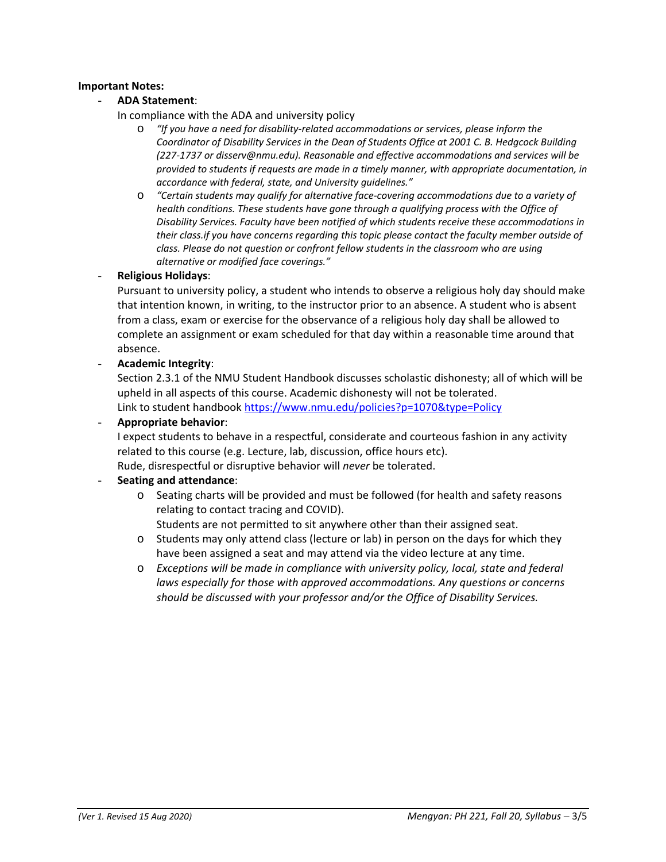#### **Important Notes:**

## - **ADA Statement**:

- In compliance with the ADA and university policy
	- o *"If you have a need for disability‐related accommodations or services, please inform the Coordinator of Disability Services in the Dean of Students Office at 2001 C. B. Hedgcock Building (227‐1737 or disserv@nmu.edu). Reasonable and effective accommodations and services will be provided to students if requests are made in a timely manner, with appropriate documentation, in accordance with federal, state, and University guidelines."*
	- o *"Certain students may qualify for alternative face‐covering accommodations due to a variety of health conditions. These students have gone through a qualifying process with the Office of Disability Services. Faculty have been notified of which students receive these accommodations in their class.if you have concerns regarding this topic please contact the faculty member outside of class. Please do not question or confront fellow students in the classroom who are using alternative or modified face coverings."*

#### - **Religious Holidays**:

Pursuant to university policy, a student who intends to observe a religious holy day should make that intention known, in writing, to the instructor prior to an absence. A student who is absent from a class, exam or exercise for the observance of a religious holy day shall be allowed to complete an assignment or exam scheduled for that day within a reasonable time around that absence.

- **Academic Integrity**:

Section 2.3.1 of the NMU Student Handbook discusses scholastic dishonesty; all of which will be upheld in all aspects of this course. Academic dishonesty will not be tolerated. Link to student handbook https://www.nmu.edu/policies?p=1070&type=Policy

## - **Appropriate behavior**:

I expect students to behave in a respectful, considerate and courteous fashion in any activity related to this course (e.g. Lecture, lab, discussion, office hours etc).

Rude, disrespectful or disruptive behavior will *never* be tolerated.

## - **Seating and attendance**:

o Seating charts will be provided and must be followed (for health and safety reasons relating to contact tracing and COVID).

Students are not permitted to sit anywhere other than their assigned seat.

- $\circ$  Students may only attend class (lecture or lab) in person on the days for which they have been assigned a seat and may attend via the video lecture at any time.
- o *Exceptions will be made in compliance with university policy, local, state and federal laws especially for those with approved accommodations. Any questions or concerns should be discussed with your professor and/or the Office of Disability Services.*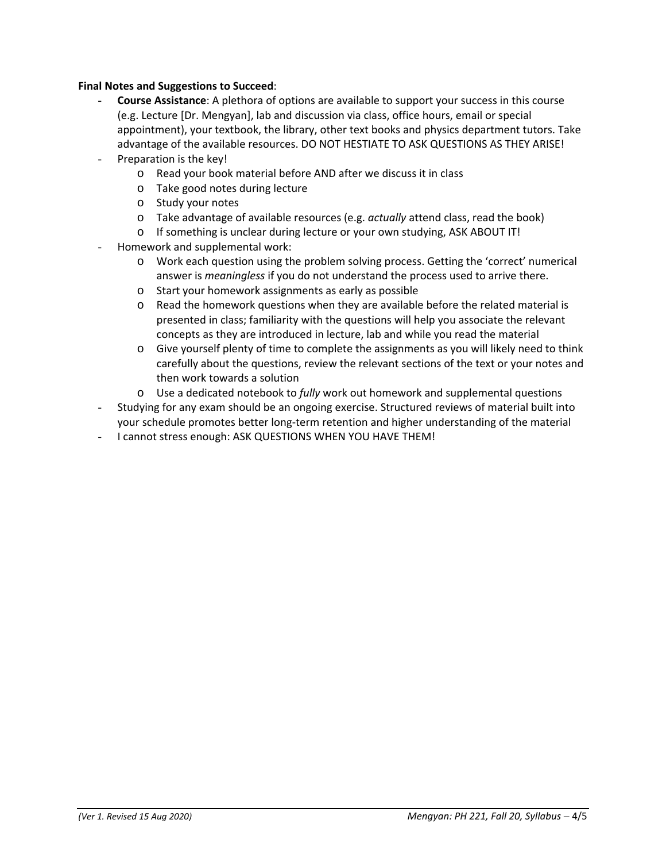## **Final Notes and Suggestions to Succeed**:

- **Course Assistance**: A plethora of options are available to support your success in this course (e.g. Lecture [Dr. Mengyan], lab and discussion via class, office hours, email or special appointment), your textbook, the library, other text books and physics department tutors. Take advantage of the available resources. DO NOT HESTIATE TO ASK QUESTIONS AS THEY ARISE!
- Preparation is the key!
	- o Read your book material before AND after we discuss it in class
	- o Take good notes during lecture
	- o Study your notes
	- o Take advantage of available resources (e.g. *actually* attend class, read the book)
	- o If something is unclear during lecture or your own studying, ASK ABOUT IT!
- Homework and supplemental work:
	- o Work each question using the problem solving process. Getting the 'correct' numerical answer is *meaningless* if you do not understand the process used to arrive there.
	- o Start your homework assignments as early as possible
	- o Read the homework questions when they are available before the related material is presented in class; familiarity with the questions will help you associate the relevant concepts as they are introduced in lecture, lab and while you read the material
	- o Give yourself plenty of time to complete the assignments as you will likely need to think carefully about the questions, review the relevant sections of the text or your notes and then work towards a solution
	- o Use a dedicated notebook to *fully* work out homework and supplemental questions
- Studying for any exam should be an ongoing exercise. Structured reviews of material built into your schedule promotes better long‐term retention and higher understanding of the material
- I cannot stress enough: ASK QUESTIONS WHEN YOU HAVE THEM!